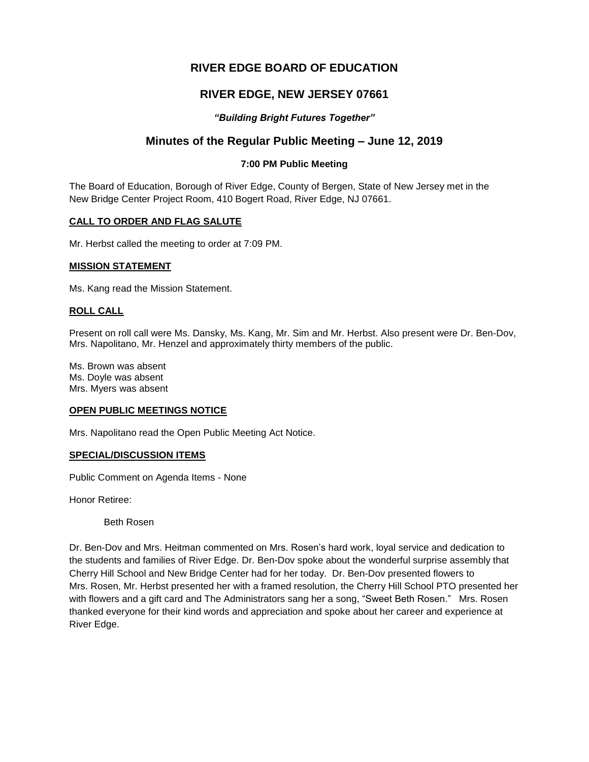# **RIVER EDGE BOARD OF EDUCATION**

# **RIVER EDGE, NEW JERSEY 07661**

## *"Building Bright Futures Together"*

# **Minutes of the Regular Public Meeting – June 12, 2019**

## **7:00 PM Public Meeting**

The Board of Education, Borough of River Edge, County of Bergen, State of New Jersey met in the New Bridge Center Project Room, 410 Bogert Road, River Edge, NJ 07661.

#### **CALL TO ORDER AND FLAG SALUTE**

Mr. Herbst called the meeting to order at 7:09 PM.

#### **MISSION STATEMENT**

Ms. Kang read the Mission Statement.

#### **ROLL CALL**

Present on roll call were Ms. Dansky, Ms. Kang, Mr. Sim and Mr. Herbst. Also present were Dr. Ben-Dov, Mrs. Napolitano, Mr. Henzel and approximately thirty members of the public.

Ms. Brown was absent Ms. Doyle was absent Mrs. Myers was absent

#### **OPEN PUBLIC MEETINGS NOTICE**

Mrs. Napolitano read the Open Public Meeting Act Notice.

#### **SPECIAL/DISCUSSION ITEMS**

Public Comment on Agenda Items - None

Honor Retiree:

Beth Rosen

Dr. Ben-Dov and Mrs. Heitman commented on Mrs. Rosen's hard work, loyal service and dedication to the students and families of River Edge. Dr. Ben-Dov spoke about the wonderful surprise assembly that Cherry Hill School and New Bridge Center had for her today. Dr. Ben-Dov presented flowers to Mrs. Rosen, Mr. Herbst presented her with a framed resolution, the Cherry Hill School PTO presented her with flowers and a gift card and The Administrators sang her a song, "Sweet Beth Rosen." Mrs. Rosen thanked everyone for their kind words and appreciation and spoke about her career and experience at River Edge.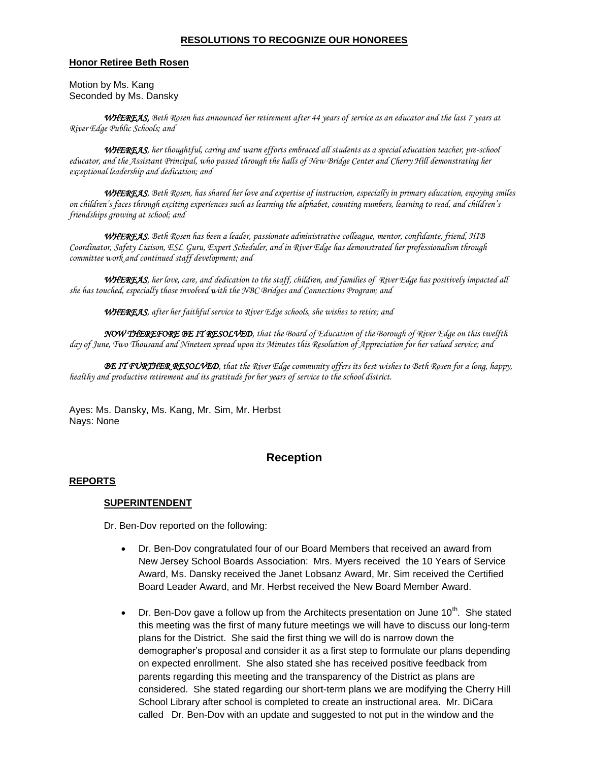#### **RESOLUTIONS TO RECOGNIZE OUR HONOREES**

#### **Honor Retiree Beth Rosen**

Motion by Ms. Kang Seconded by Ms. Dansky

*WHEREAS, Beth Rosen has announced her retirement after 44 years of service as an educator and the last 7 years at River Edge Public Schools; and* 

*WHEREAS, her thoughtful, caring and warm efforts embraced all students as a special education teacher, pre-school educator, and the Assistant Principal, who passed through the halls of New Bridge Center and Cherry Hill demonstrating her exceptional leadership and dedication; and* 

*WHEREAS, Beth Rosen, has shared her love and expertise of instruction, especially in primary education, enjoying smiles on children's faces through exciting experiences such as learning the alphabet, counting numbers, learning to read, and children's friendships growing at school; and* 

*WHEREAS, Beth Rosen has been a leader, passionate administrative colleague, mentor, confidante, friend, HIB Coordinator, Safety Liaison, ESL Guru, Expert Scheduler, and in River Edge has demonstrated her professionalism through committee work and continued staff development; and*

*WHEREAS, her love, care, and dedication to the staff, children, and families of River Edge has positively impacted all she has touched, especially those involved with the NBC Bridges and Connections Program; and*

*WHEREAS, after her faithful service to River Edge schools, she wishes to retire; and*

*NOW THEREFORE BE IT RESOLVED, that the Board of Education of the Borough of River Edge on this twelfth day of June, Two Thousand and Nineteen spread upon its Minutes this Resolution of Appreciation for her valued service; and*

*BE IT FURTHER RESOLVED, that the River Edge community offers its best wishes to Beth Rosen for a long, happy, healthy and productive retirement and its gratitude for her years of service to the school district.*

Ayes: Ms. Dansky, Ms. Kang, Mr. Sim, Mr. Herbst Nays: None

# **Reception**

#### **REPORTS**

#### **SUPERINTENDENT**

Dr. Ben-Dov reported on the following:

- Dr. Ben-Dov congratulated four of our Board Members that received an award from New Jersey School Boards Association: Mrs. Myers received the 10 Years of Service Award, Ms. Dansky received the Janet Lobsanz Award, Mr. Sim received the Certified Board Leader Award, and Mr. Herbst received the New Board Member Award.
- $\bullet$  Dr. Ben-Dov gave a follow up from the Architects presentation on June 10<sup>th</sup>. She stated this meeting was the first of many future meetings we will have to discuss our long-term plans for the District. She said the first thing we will do is narrow down the demographer's proposal and consider it as a first step to formulate our plans depending on expected enrollment. She also stated she has received positive feedback from parents regarding this meeting and the transparency of the District as plans are considered. She stated regarding our short-term plans we are modifying the Cherry Hill School Library after school is completed to create an instructional area. Mr. DiCara called Dr. Ben-Dov with an update and suggested to not put in the window and the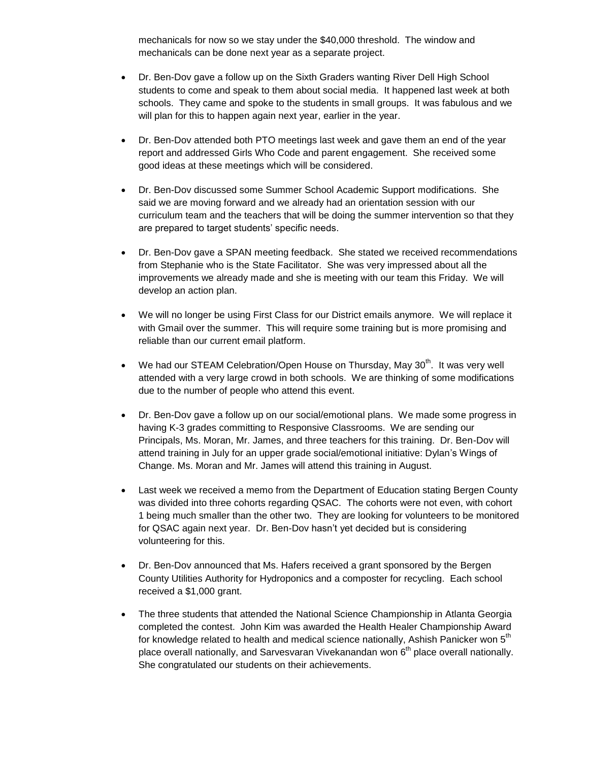mechanicals for now so we stay under the \$40,000 threshold. The window and mechanicals can be done next year as a separate project.

- Dr. Ben-Dov gave a follow up on the Sixth Graders wanting River Dell High School students to come and speak to them about social media. It happened last week at both schools. They came and spoke to the students in small groups. It was fabulous and we will plan for this to happen again next year, earlier in the year.
- Dr. Ben-Dov attended both PTO meetings last week and gave them an end of the year report and addressed Girls Who Code and parent engagement. She received some good ideas at these meetings which will be considered.
- Dr. Ben-Dov discussed some Summer School Academic Support modifications. She said we are moving forward and we already had an orientation session with our curriculum team and the teachers that will be doing the summer intervention so that they are prepared to target students' specific needs.
- Dr. Ben-Dov gave a SPAN meeting feedback. She stated we received recommendations from Stephanie who is the State Facilitator. She was very impressed about all the improvements we already made and she is meeting with our team this Friday. We will develop an action plan.
- We will no longer be using First Class for our District emails anymore. We will replace it with Gmail over the summer. This will require some training but is more promising and reliable than our current email platform.
- We had our STEAM Celebration/Open House on Thursday, May  $30<sup>th</sup>$ . It was very well attended with a very large crowd in both schools. We are thinking of some modifications due to the number of people who attend this event.
- Dr. Ben-Dov gave a follow up on our social/emotional plans. We made some progress in having K-3 grades committing to Responsive Classrooms. We are sending our Principals, Ms. Moran, Mr. James, and three teachers for this training. Dr. Ben-Dov will attend training in July for an upper grade social/emotional initiative: Dylan's Wings of Change. Ms. Moran and Mr. James will attend this training in August.
- Last week we received a memo from the Department of Education stating Bergen County was divided into three cohorts regarding QSAC. The cohorts were not even, with cohort 1 being much smaller than the other two. They are looking for volunteers to be monitored for QSAC again next year. Dr. Ben-Dov hasn't yet decided but is considering volunteering for this.
- Dr. Ben-Dov announced that Ms. Hafers received a grant sponsored by the Bergen County Utilities Authority for Hydroponics and a composter for recycling. Each school received a \$1,000 grant.
- The three students that attended the National Science Championship in Atlanta Georgia completed the contest. John Kim was awarded the Health Healer Championship Award for knowledge related to health and medical science nationally, Ashish Panicker won  $5<sup>th</sup>$ place overall nationally, and Sarvesvaran Vivekanandan won 6<sup>th</sup> place overall nationally. She congratulated our students on their achievements.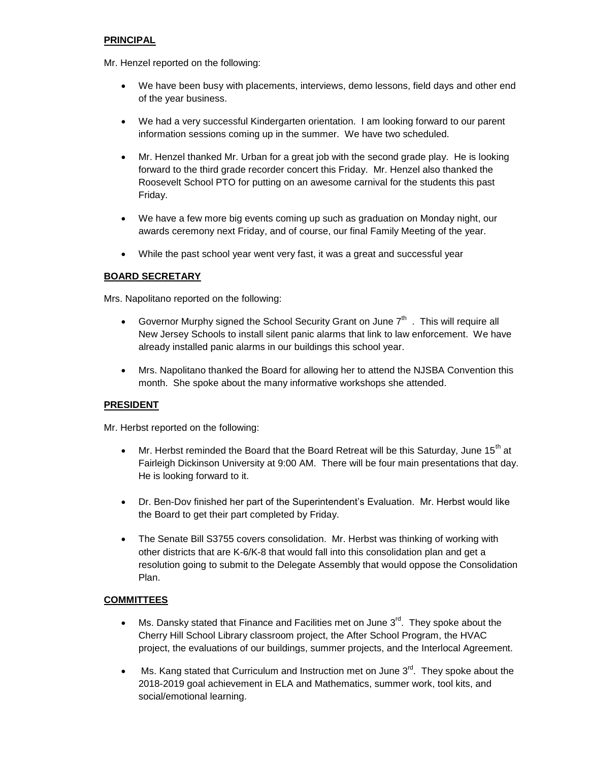## **PRINCIPAL**

Mr. Henzel reported on the following:

- We have been busy with placements, interviews, demo lessons, field days and other end of the year business.
- We had a very successful Kindergarten orientation. I am looking forward to our parent information sessions coming up in the summer. We have two scheduled.
- Mr. Henzel thanked Mr. Urban for a great job with the second grade play. He is looking forward to the third grade recorder concert this Friday. Mr. Henzel also thanked the Roosevelt School PTO for putting on an awesome carnival for the students this past Friday.
- We have a few more big events coming up such as graduation on Monday night, our awards ceremony next Friday, and of course, our final Family Meeting of the year.
- While the past school year went very fast, it was a great and successful year

## **BOARD SECRETARY**

Mrs. Napolitano reported on the following:

- Governor Murphy signed the School Security Grant on June  $7<sup>th</sup>$ . This will require all New Jersey Schools to install silent panic alarms that link to law enforcement. We have already installed panic alarms in our buildings this school year.
- Mrs. Napolitano thanked the Board for allowing her to attend the NJSBA Convention this month. She spoke about the many informative workshops she attended.

### **PRESIDENT**

Mr. Herbst reported on the following:

- $\bullet$  Mr. Herbst reminded the Board that the Board Retreat will be this Saturday, June 15<sup>th</sup> at Fairleigh Dickinson University at 9:00 AM. There will be four main presentations that day. He is looking forward to it.
- Dr. Ben-Dov finished her part of the Superintendent's Evaluation. Mr. Herbst would like the Board to get their part completed by Friday.
- The Senate Bill S3755 covers consolidation. Mr. Herbst was thinking of working with other districts that are K-6/K-8 that would fall into this consolidation plan and get a resolution going to submit to the Delegate Assembly that would oppose the Consolidation Plan.

### **COMMITTEES**

- $\bullet$  Ms. Dansky stated that Finance and Facilities met on June  $3<sup>rd</sup>$ . They spoke about the Cherry Hill School Library classroom project, the After School Program, the HVAC project, the evaluations of our buildings, summer projects, and the Interlocal Agreement.
- $\bullet$  Ms. Kang stated that Curriculum and Instruction met on June  $3<sup>rd</sup>$ . They spoke about the 2018-2019 goal achievement in ELA and Mathematics, summer work, tool kits, and social/emotional learning.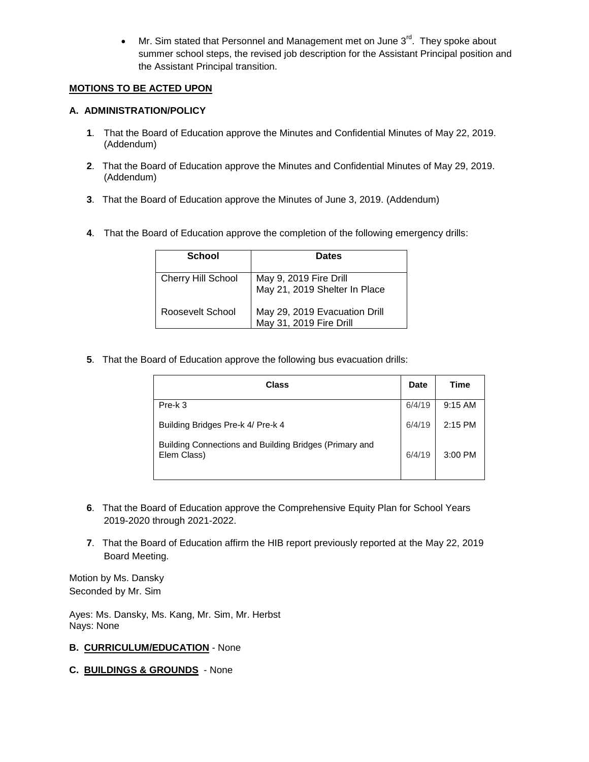• Mr. Sim stated that Personnel and Management met on June  $3^{\text{rd}}$ . They spoke about summer school steps, the revised job description for the Assistant Principal position and the Assistant Principal transition.

## **MOTIONS TO BE ACTED UPON**

## **A. ADMINISTRATION/POLICY**

- **1**. That the Board of Education approve the Minutes and Confidential Minutes of May 22, 2019. (Addendum)
- **2**. That the Board of Education approve the Minutes and Confidential Minutes of May 29, 2019. (Addendum)
- **3**. That the Board of Education approve the Minutes of June 3, 2019. (Addendum)
- **4**. That the Board of Education approve the completion of the following emergency drills:

| <b>School</b>             | <b>Dates</b>                                             |
|---------------------------|----------------------------------------------------------|
| <b>Cherry Hill School</b> | May 9, 2019 Fire Drill<br>May 21, 2019 Shelter In Place  |
| Roosevelt School          | May 29, 2019 Evacuation Drill<br>May 31, 2019 Fire Drill |

**5**. That the Board of Education approve the following bus evacuation drills:

| Class                                                                 | <b>Date</b> | <b>Time</b> |
|-----------------------------------------------------------------------|-------------|-------------|
| Pre-k 3                                                               | 6/4/19      | $9:15$ AM   |
| Building Bridges Pre-k 4/ Pre-k 4                                     | 6/4/19      | 2:15 PM     |
| Building Connections and Building Bridges (Primary and<br>Elem Class) | 6/4/19      | $3:00$ PM   |

- **6**. That the Board of Education approve the Comprehensive Equity Plan for School Years 2019-2020 through 2021-2022.
- **7**. That the Board of Education affirm the HIB report previously reported at the May 22, 2019 Board Meeting.

Motion by Ms. Dansky Seconded by Mr. Sim

Ayes: Ms. Dansky, Ms. Kang, Mr. Sim, Mr. Herbst Nays: None

### **B. CURRICULUM/EDUCATION** - None

**C. BUILDINGS & GROUNDS** - None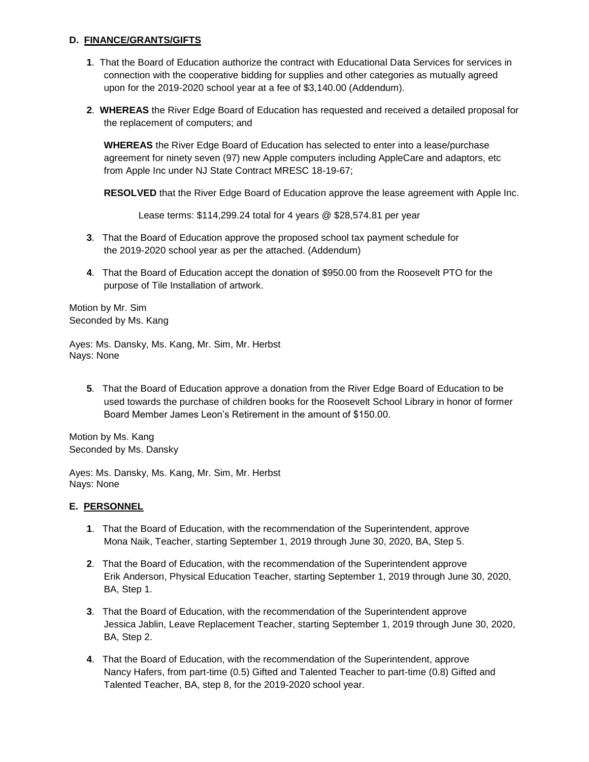### **D. FINANCE/GRANTS/GIFTS**

- **1**. That the Board of Education authorize the contract with Educational Data Services for services in connection with the cooperative bidding for supplies and other categories as mutually agreed upon for the 2019-2020 school year at a fee of \$3,140.00 (Addendum).
- **2**. **WHEREAS** the River Edge Board of Education has requested and received a detailed proposal for the replacement of computers; and

**WHEREAS** the River Edge Board of Education has selected to enter into a lease/purchase agreement for ninety seven (97) new Apple computers including AppleCare and adaptors, etc from Apple Inc under NJ State Contract MRESC 18-19-67;

**RESOLVED** that the River Edge Board of Education approve the lease agreement with Apple Inc.

Lease terms: \$114,299.24 total for 4 years @ \$28,574.81 per year

- **3**. That the Board of Education approve the proposed school tax payment schedule for the 2019-2020 school year as per the attached. (Addendum)
- **4**. That the Board of Education accept the donation of \$950.00 from the Roosevelt PTO for the purpose of Tile Installation of artwork.

Motion by Mr. Sim Seconded by Ms. Kang

Ayes: Ms. Dansky, Ms. Kang, Mr. Sim, Mr. Herbst Nays: None

**5**. That the Board of Education approve a donation from the River Edge Board of Education to be used towards the purchase of children books for the Roosevelt School Library in honor of former Board Member James Leon's Retirement in the amount of \$150.00.

Motion by Ms. Kang Seconded by Ms. Dansky

Ayes: Ms. Dansky, Ms. Kang, Mr. Sim, Mr. Herbst Nays: None

## **E. PERSONNEL**

- **1**. That the Board of Education, with the recommendation of the Superintendent, approve Mona Naik, Teacher, starting September 1, 2019 through June 30, 2020, BA, Step 5.
- **2**. That the Board of Education, with the recommendation of the Superintendent approve Erik Anderson, Physical Education Teacher, starting September 1, 2019 through June 30, 2020, BA, Step 1.
- **3**. That the Board of Education, with the recommendation of the Superintendent approve Jessica Jablin, Leave Replacement Teacher, starting September 1, 2019 through June 30, 2020, BA, Step 2.
- **4**. That the Board of Education, with the recommendation of the Superintendent, approve Nancy Hafers, from part-time (0.5) Gifted and Talented Teacher to part-time (0.8) Gifted and Talented Teacher, BA, step 8, for the 2019-2020 school year.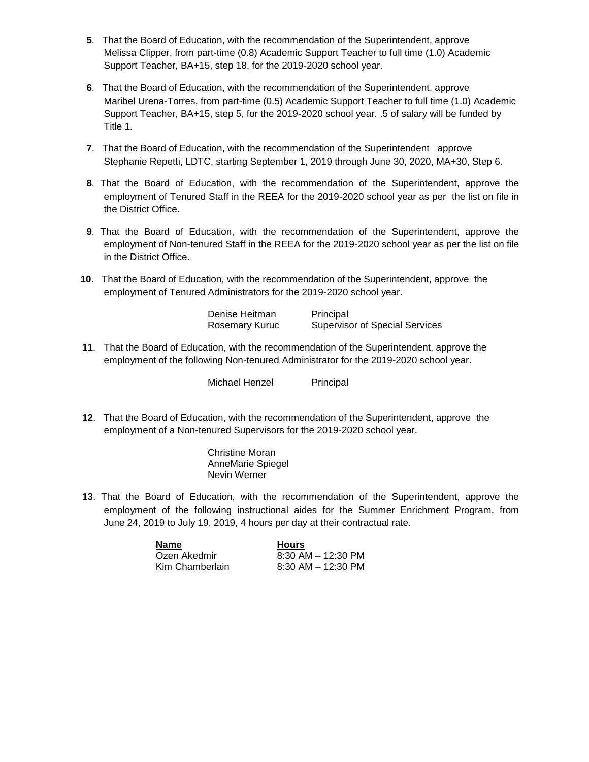- **5**. That the Board of Education, with the recommendation of the Superintendent, approve Melissa Clipper, from part-time (0.8) Academic Support Teacher to full time (1.0) Academic Support Teacher, BA+15, step 18, for the 2019-2020 school year.
- **6**. That the Board of Education, with the recommendation of the Superintendent, approve Maribel Urena-Torres, from part-time (0.5) Academic Support Teacher to full time (1.0) Academic Support Teacher, BA+15, step 5, for the 2019-2020 school year. .5 of salary will be funded by Title 1.
- **7**. That the Board of Education, with the recommendation of the Superintendent approve Stephanie Repetti, LDTC, starting September 1, 2019 through June 30, 2020, MA+30, Step 6.
- **8**. That the Board of Education, with the recommendation of the Superintendent, approve the employment of Tenured Staff in the REEA for the 2019-2020 school year as per the list on file in the District Office.
- **9**. That the Board of Education, with the recommendation of the Superintendent, approve the employment of Non-tenured Staff in the REEA for the 2019-2020 school year as per the list on file in the District Office.
- **10**. That the Board of Education, with the recommendation of the Superintendent, approve the employment of Tenured Administrators for the 2019-2020 school year.

| Denise Heitman | Principal                             |
|----------------|---------------------------------------|
| Rosemary Kuruc | <b>Supervisor of Special Services</b> |

**11**. That the Board of Education, with the recommendation of the Superintendent, approve the employment of the following Non-tenured Administrator for the 2019-2020 school year.

Michael Henzel Principal

**12**. That the Board of Education, with the recommendation of the Superintendent, approve the employment of a Non-tenured Supervisors for the 2019-2020 school year.

> Christine Moran AnneMarie Spiegel Nevin Werner

**13**. That the Board of Education, with the recommendation of the Superintendent, approve the employment of the following instructional aides for the Summer Enrichment Program, from June 24, 2019 to July 19, 2019, 4 hours per day at their contractual rate.

| Name            | <b>Hours</b>           |
|-----------------|------------------------|
| Ozen Akedmir    | $8:30$ AM $-$ 12:30 PM |
| Kim Chamberlain | $8:30$ AM $-$ 12:30 PM |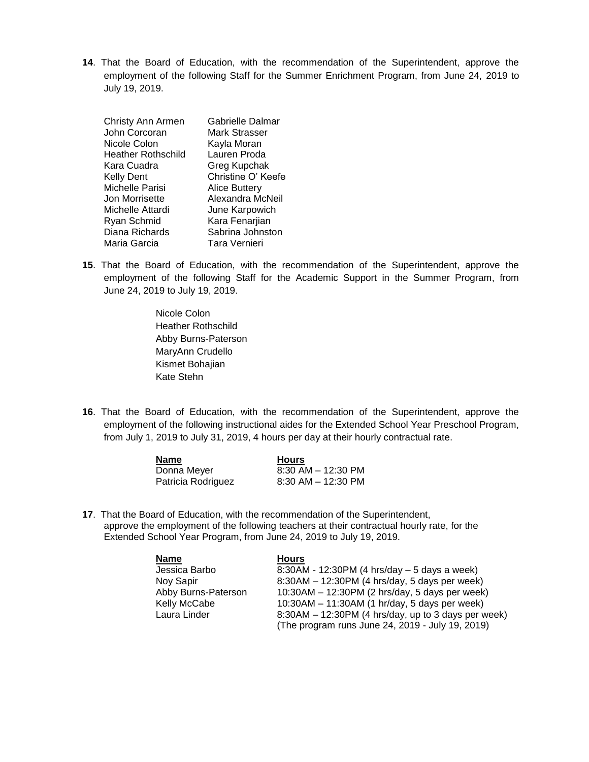**14**. That the Board of Education, with the recommendation of the Superintendent, approve the employment of the following Staff for the Summer Enrichment Program, from June 24, 2019 to July 19, 2019.

| Christy Ann Armen<br>John Corcoran | Gabrielle Dalmar<br>Mark Strasser |
|------------------------------------|-----------------------------------|
| Nicole Colon                       | Kayla Moran                       |
| <b>Heather Rothschild</b>          | Lauren Proda                      |
| Kara Cuadra                        | Greg Kupchak                      |
| <b>Kelly Dent</b>                  | Christine O' Keefe                |
| Michelle Parisi                    | <b>Alice Buttery</b>              |
| Jon Morrisette                     | Alexandra McNeil                  |
| Michelle Attardi                   | June Karpowich                    |
| Ryan Schmid                        | Kara Fenarjian                    |
| Diana Richards                     | Sabrina Johnston                  |
| Maria Garcia                       | Tara Vernieri                     |

**15**. That the Board of Education, with the recommendation of the Superintendent, approve the employment of the following Staff for the Academic Support in the Summer Program, from June 24, 2019 to July 19, 2019.

> Nicole Colon Heather Rothschild Abby Burns-Paterson MaryAnn Crudello Kismet Bohajian Kate Stehn

**16**. That the Board of Education, with the recommendation of the Superintendent, approve the employment of the following instructional aides for the Extended School Year Preschool Program, from July 1, 2019 to July 31, 2019, 4 hours per day at their hourly contractual rate.

| Name               | <b>Hours</b>           |
|--------------------|------------------------|
| Donna Meyer        | $8:30$ AM $-$ 12:30 PM |
| Patricia Rodriguez | $8:30$ AM $-$ 12:30 PM |

**17**. That the Board of Education, with the recommendation of the Superintendent, approve the employment of the following teachers at their contractual hourly rate, for the Extended School Year Program, from June 24, 2019 to July 19, 2019.

| <b>Name</b>         | <b>Hours</b>                                          |
|---------------------|-------------------------------------------------------|
| Jessica Barbo       | 8:30AM - 12:30PM (4 hrs/day – 5 days a week)          |
| Noy Sapir           | $8:30AM - 12:30PM$ (4 hrs/day, 5 days per week)       |
| Abby Burns-Paterson | $10:30AM - 12:30PM$ (2 hrs/day, 5 days per week)      |
| Kelly McCabe        | $10:30AM - 11:30AM$ (1 hr/day, 5 days per week)       |
| Laura Linder        | $8:30AM - 12:30PM$ (4 hrs/day, up to 3 days per week) |
|                     | (The program runs June 24, 2019 - July 19, 2019)      |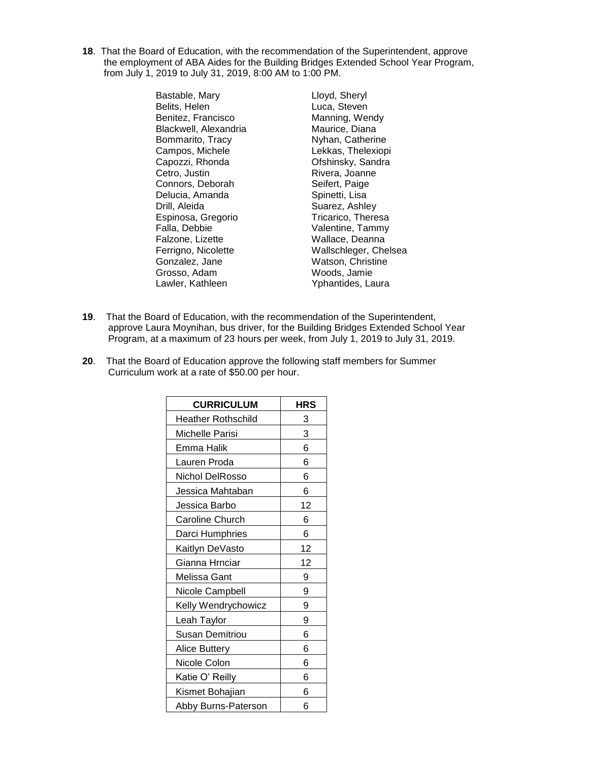**18**. That the Board of Education, with the recommendation of the Superintendent, approve the employment of ABA Aides for the Building Bridges Extended School Year Program, from July 1, 2019 to July 31, 2019, 8:00 AM to 1:00 PM.

> Bastable, Mary **Light Lloyd, Sheryl**<br>Belits, Helen **Luca, Steven** Benitez, Francisco **Manning, Wendy Blackwell, Alexandria** Blackwell, Alexandria Bommarito, Tracy Nyhan, Catherine Campos, Michele Lekkas, Thelexiopi<br>
> Capozzi, Rhonda Cheshinsky, Sandra Cetro, Justin **Rivera**, Joanne Connors, Deborah Seifert, Paige Delucia, Amanda Spinetti, Lisa Drill, Aleida<br>
> Espinosa, Gregorio<br>
> Tricarico, Theresa Espinosa, Gregorio Falla, Debbie Valentine, Tammy Falzone, Lizette Wallace, Deanna Gonzalez, Jane Watson, Christine Grosso, Adam Woods, Jamie Lawler, Kathleen Yphantides, Laura

Luca, Steven Ofshinsky, Sandra Ferrigno, Nicolette Wallschleger, Chelsea

- **19**. That the Board of Education, with the recommendation of the Superintendent, approve Laura Moynihan, bus driver, for the Building Bridges Extended School Year Program, at a maximum of 23 hours per week, from July 1, 2019 to July 31, 2019.
- **20**. That the Board of Education approve the following staff members for Summer Curriculum work at a rate of \$50.00 per hour.

| <b>CURRICULUM</b>         | <b>HRS</b> |
|---------------------------|------------|
| <b>Heather Rothschild</b> | 3          |
| Michelle Parisi           | 3          |
| Emma Halik                | 6          |
| Lauren Proda              | 6          |
| Nichol DelRosso           | 6          |
| Jessica Mahtaban          | 6          |
| Jessica Barbo             | 12         |
| Caroline Church           | 6          |
| Darci Humphries           | 6          |
| Kaitlyn DeVasto           | 12         |
| Gianna Hrnciar            | 12         |
| Melissa Gant              | 9          |
| Nicole Campbell           | 9          |
| Kelly Wendrychowicz       | 9          |
| Leah Taylor               | 9          |
| Susan Demitriou           | 6          |
| <b>Alice Buttery</b>      | 6          |
| Nicole Colon              | 6          |
| Katie O' Reilly           | 6          |
| Kismet Bohajian           | 6          |
| Abby Burns-Paterson       | 6          |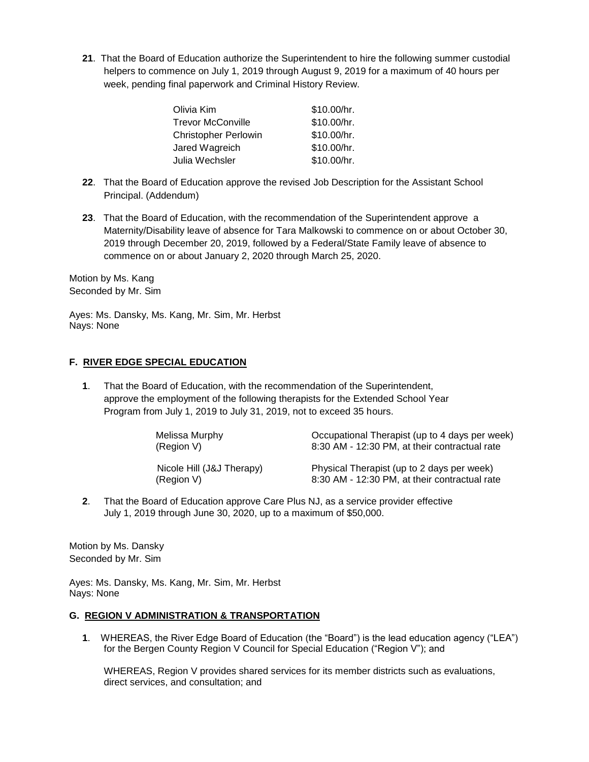**21**. That the Board of Education authorize the Superintendent to hire the following summer custodial helpers to commence on July 1, 2019 through August 9, 2019 for a maximum of 40 hours per week, pending final paperwork and Criminal History Review.

| \$10.00/hr. | Olivia Kim           |
|-------------|----------------------|
| \$10.00/hr. | Trevor McConville    |
| \$10.00/hr. | Christopher Perlowin |
| \$10.00/hr. | Jared Wagreich       |
| \$10.00/hr. | Julia Wechsler       |
|             |                      |

- **22**. That the Board of Education approve the revised Job Description for the Assistant School Principal. (Addendum)
- **23**. That the Board of Education, with the recommendation of the Superintendent approve a Maternity/Disability leave of absence for Tara Malkowski to commence on or about October 30, 2019 through December 20, 2019, followed by a Federal/State Family leave of absence to commence on or about January 2, 2020 through March 25, 2020.

Motion by Ms. Kang Seconded by Mr. Sim

Ayes: Ms. Dansky, Ms. Kang, Mr. Sim, Mr. Herbst Nays: None

### **F. RIVER EDGE SPECIAL EDUCATION**

**1**. That the Board of Education, with the recommendation of the Superintendent, approve the employment of the following therapists for the Extended School Year Program from July 1, 2019 to July 31, 2019, not to exceed 35 hours.

| Melissa Murphy            | Occupational Therapist (up to 4 days per week) |
|---------------------------|------------------------------------------------|
| (Region V)                | 8:30 AM - 12:30 PM, at their contractual rate  |
| Nicole Hill (J&J Therapy) | Physical Therapist (up to 2 days per week)     |

(Region V) 8:30 AM - 12:30 PM, at their contractual rate<br>(Region V) 8:30 AM - 12:30 PM, at their contractual rate

**2**. That the Board of Education approve Care Plus NJ, as a service provider effective July 1, 2019 through June 30, 2020, up to a maximum of \$50,000.

Motion by Ms. Dansky Seconded by Mr. Sim

Ayes: Ms. Dansky, Ms. Kang, Mr. Sim, Mr. Herbst Nays: None

### **G. REGION V ADMINISTRATION & TRANSPORTATION**

**1**. WHEREAS, the River Edge Board of Education (the "Board") is the lead education agency ("LEA") for the Bergen County Region V Council for Special Education ("Region V"); and

WHEREAS, Region V provides shared services for its member districts such as evaluations, direct services, and consultation; and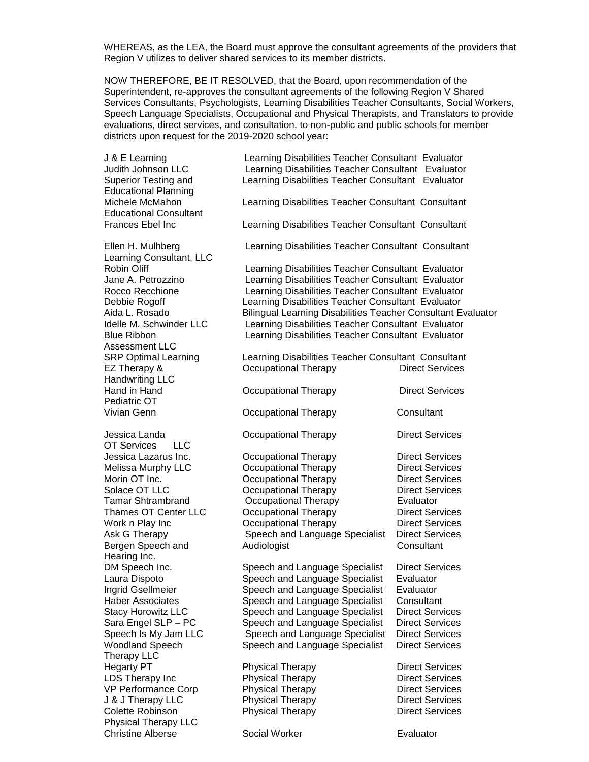WHEREAS, as the LEA, the Board must approve the consultant agreements of the providers that Region V utilizes to deliver shared services to its member districts.

NOW THEREFORE, BE IT RESOLVED, that the Board, upon recommendation of the Superintendent, re-approves the consultant agreements of the following Region V Shared Services Consultants, Psychologists, Learning Disabilities Teacher Consultants, Social Workers, Speech Language Specialists, Occupational and Physical Therapists, and Translators to provide evaluations, direct services, and consultation, to non-public and public schools for member districts upon request for the 2019-2020 school year:

J & E Learning Learning Disabilities Teacher Consultant Evaluator Judith Johnson LLC Learning Disabilities Teacher Consultant Evaluator Superior Testing and Learning Disabilities Teacher Consultant Evaluator Educational Planning Michele McMahon Learning Disabilities Teacher Consultant Consultant Educational Consultant Frances Ebel Inc Learning Disabilities Teacher Consultant Consultant Ellen H. Mulhberg Learning Disabilities Teacher Consultant Consultant Learning Consultant, LLC Robin Oliff **Learning Disabilities Teacher Consultant Evaluator** Consultant Evaluator Jane A. Petrozzino Learning Disabilities Teacher Consultant Evaluator Rocco Recchione Learning Disabilities Teacher Consultant Evaluator Debbie Rogoff Learning Disabilities Teacher Consultant Evaluator Aida L. Rosado Bilingual Learning Disabilities Teacher Consultant Evaluator Idelle M. Schwinder LLC Learning Disabilities Teacher Consultant Evaluator Blue Ribbon Learning Disabilities Teacher Consultant Evaluator Assessment LLC SRP Optimal Learning **Learning Disabilities Teacher Consultant Consultant** EZ Therapy & Cocupational Therapy Direct Services Handwriting LLC Hand in Hand **Direct Services Occupational Therapy Direct Services** Pediatric OT Vivian Genn Occupational Therapy Consultant Jessica Landa Occupational Therapy Direct Services OT Services LLC Jessica Lazarus Inc. **COCCOL** Occupational Therapy **Direct Services** Melissa Murphy LLC **COCCOL** Occupational Therapy **Direct Services** Morin OT Inc. **Direct Services** Occupational Therapy **Direct Services** Solace OT LLC **COCCUPATION** Occupational Therapy **Direct Services** Tamar Shtrambrand Occupational Therapy Evaluator Thames OT Center LLC Occupational Therapy Direct Services Work n Play Inc **COCCUPATION** Occupational Therapy **Direct Services** Ask G Therapy Speech and Language Specialist Direct Services Bergen Speech and Audiologist Consultant Hearing Inc. DM Speech Inc. Speech and Language Specialist Direct Services<br>
Laura Dispoto Speech and Language Specialist Evaluator Speech and Language Specialist Evaluator Ingrid Gsellmeier Speech and Language Specialist Evaluator Haber Associates Speech and Language Specialist Consultant Stacy Horowitz LLC Speech and Language Specialist Direct Services Sara Engel SLP – PC Speech and Language Specialist Direct Services Speech Is My Jam LLC Speech and Language Specialist Direct Services Woodland Speech Speech and Language Specialist Direct Services Therapy LLC Hegarty PT **Physical Therapy Physical Therapy Direct Services** LDS Therapy Inc **Physical Therapy Communist Construct** Direct Services VP Performance Corp Physical Therapy Direct Services J & J Therapy LLC **Physical Therapy Communist Construct** Direct Services Colette Robinson **Physical Therapy Direct Services** Physical Therapy LLC Christine Alberse Social Worker Evaluator